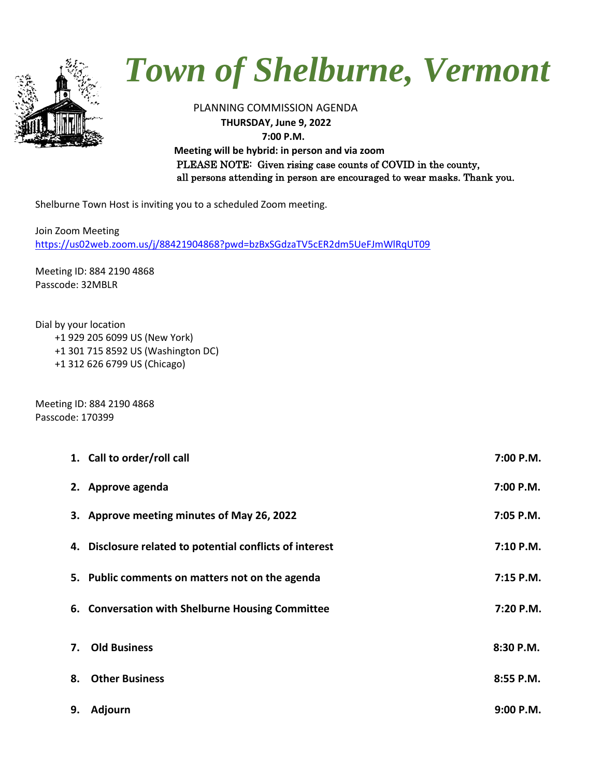

# *Town of Shelburne, Vermont*

 PLANNING COMMISSION AGENDA **THURSDAY, June 9, 2022**

 **7:00 P.M.**

 **Meeting will be hybrid: in person and via zoom** PLEASE NOTE: Given rising case counts of COVID in the county, all persons attending in person are encouraged to wear masks. Thank you.

Shelburne Town Host is inviting you to a scheduled Zoom meeting.

Join Zoom Meeting <https://us02web.zoom.us/j/88421904868?pwd=bzBxSGdzaTV5cER2dm5UeFJmWlRqUT09>

Meeting ID: 884 2190 4868 Passcode: 32MBLR

Dial by your location +1 929 205 6099 US (New York) +1 301 715 8592 US (Washington DC) +1 312 626 6799 US (Chicago)

Meeting ID: 884 2190 4868 Passcode: 170399

|    | 1. Call to order/roll call                               | 7:00 P.M. |
|----|----------------------------------------------------------|-----------|
|    | 2. Approve agenda                                        | 7:00 P.M. |
|    | 3. Approve meeting minutes of May 26, 2022               | 7:05 P.M. |
|    | 4. Disclosure related to potential conflicts of interest | 7:10 P.M. |
|    | 5. Public comments on matters not on the agenda          | 7:15 P.M. |
|    | 6. Conversation with Shelburne Housing Committee         | 7:20 P.M. |
|    | 7. Old Business                                          | 8:30 P.M. |
|    | 8. Other Business                                        | 8:55 P.M. |
| 9. | Adjourn                                                  | 9:00 P.M. |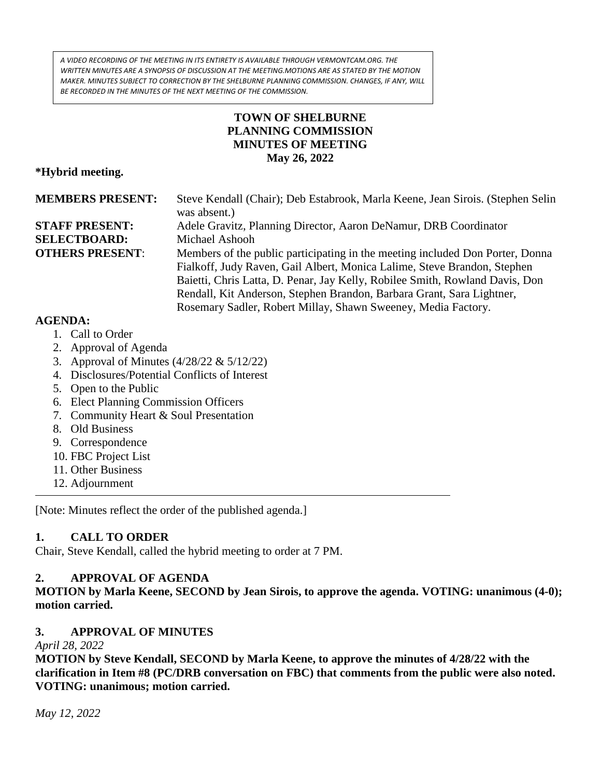*A VIDEO RECORDING OF THE MEETING IN ITS ENTIRETY IS AVAILABLE THROUGH VERMONTCAM.ORG. THE WRITTEN MINUTES ARE A SYNOPSIS OF DISCUSSION AT THE MEETING.MOTIONS ARE AS STATED BY THE MOTION MAKER. MINUTES SUBJECT TO CORRECTION BY THE SHELBURNE PLANNING COMMISSION. CHANGES, IF ANY, WILL BE RECORDED IN THE MINUTES OF THE NEXT MEETING OF THE COMMISSION.*

#### **TOWN OF SHELBURNE PLANNING COMMISSION MINUTES OF MEETING May 26, 2022**

#### **\*Hybrid meeting.**

| <b>MEMBERS PRESENT:</b> | Steve Kendall (Chair); Deb Estabrook, Marla Keene, Jean Sirois. (Stephen Selin |
|-------------------------|--------------------------------------------------------------------------------|
|                         | was absent.)                                                                   |
| <b>STAFF PRESENT:</b>   | Adele Gravitz, Planning Director, Aaron DeNamur, DRB Coordinator               |
| <b>SELECTBOARD:</b>     | Michael Ashooh                                                                 |
| <b>OTHERS PRESENT:</b>  | Members of the public participating in the meeting included Don Porter, Donna  |
|                         | Fialkoff, Judy Raven, Gail Albert, Monica Lalime, Steve Brandon, Stephen       |
|                         | Baietti, Chris Latta, D. Penar, Jay Kelly, Robilee Smith, Rowland Davis, Don   |
|                         | Rendall, Kit Anderson, Stephen Brandon, Barbara Grant, Sara Lightner,          |
|                         | Rosemary Sadler, Robert Millay, Shawn Sweeney, Media Factory.                  |

#### **AGENDA:**

- 1. Call to Order
- 2. Approval of Agenda
- 3. Approval of Minutes (4/28/22 & 5/12/22)
- 4. Disclosures/Potential Conflicts of Interest
- 5. Open to the Public
- 6. Elect Planning Commission Officers
- 7. Community Heart & Soul Presentation
- 8. Old Business
- 9. Correspondence
- 10. FBC Project List
- 11. Other Business
- 12. Adjournment

[Note: Minutes reflect the order of the published agenda.]

## **1. CALL TO ORDER**

Chair, Steve Kendall, called the hybrid meeting to order at 7 PM.

## **2. APPROVAL OF AGENDA**

**MOTION by Marla Keene, SECOND by Jean Sirois, to approve the agenda. VOTING: unanimous (4-0); motion carried.**

## **3. APPROVAL OF MINUTES**

*April 28, 2022*

**MOTION by Steve Kendall, SECOND by Marla Keene, to approve the minutes of 4/28/22 with the clarification in Item #8 (PC/DRB conversation on FBC) that comments from the public were also noted. VOTING: unanimous; motion carried.**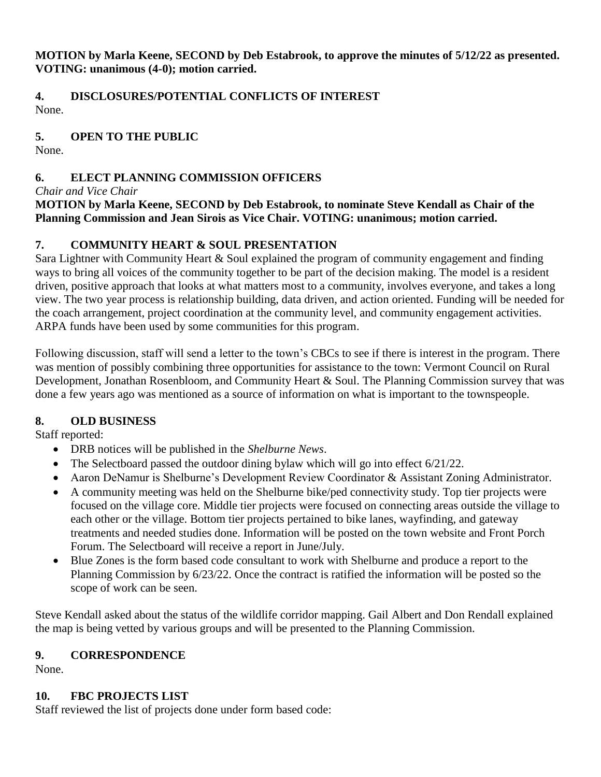**MOTION by Marla Keene, SECOND by Deb Estabrook, to approve the minutes of 5/12/22 as presented. VOTING: unanimous (4-0); motion carried.**

**4. DISCLOSURES/POTENTIAL CONFLICTS OF INTEREST** None.

**5. OPEN TO THE PUBLIC**

None.

## **6. ELECT PLANNING COMMISSION OFFICERS**

*Chair and Vice Chair*

**MOTION by Marla Keene, SECOND by Deb Estabrook, to nominate Steve Kendall as Chair of the Planning Commission and Jean Sirois as Vice Chair. VOTING: unanimous; motion carried.**

# **7. COMMUNITY HEART & SOUL PRESENTATION**

Sara Lightner with Community Heart & Soul explained the program of community engagement and finding ways to bring all voices of the community together to be part of the decision making. The model is a resident driven, positive approach that looks at what matters most to a community, involves everyone, and takes a long view. The two year process is relationship building, data driven, and action oriented. Funding will be needed for the coach arrangement, project coordination at the community level, and community engagement activities. ARPA funds have been used by some communities for this program.

Following discussion, staff will send a letter to the town's CBCs to see if there is interest in the program. There was mention of possibly combining three opportunities for assistance to the town: Vermont Council on Rural Development, Jonathan Rosenbloom, and Community Heart & Soul. The Planning Commission survey that was done a few years ago was mentioned as a source of information on what is important to the townspeople.

# **8. OLD BUSINESS**

Staff reported:

- DRB notices will be published in the *Shelburne News*.
- The Selectboard passed the outdoor dining bylaw which will go into effect 6/21/22.
- Aaron DeNamur is Shelburne's Development Review Coordinator & Assistant Zoning Administrator.
- A community meeting was held on the Shelburne bike/ped connectivity study. Top tier projects were focused on the village core. Middle tier projects were focused on connecting areas outside the village to each other or the village. Bottom tier projects pertained to bike lanes, wayfinding, and gateway treatments and needed studies done. Information will be posted on the town website and Front Porch Forum. The Selectboard will receive a report in June/July.
- Blue Zones is the form based code consultant to work with Shelburne and produce a report to the Planning Commission by 6/23/22. Once the contract is ratified the information will be posted so the scope of work can be seen.

Steve Kendall asked about the status of the wildlife corridor mapping. Gail Albert and Don Rendall explained the map is being vetted by various groups and will be presented to the Planning Commission.

## **9. CORRESPONDENCE**

None.

# **10. FBC PROJECTS LIST**

Staff reviewed the list of projects done under form based code: